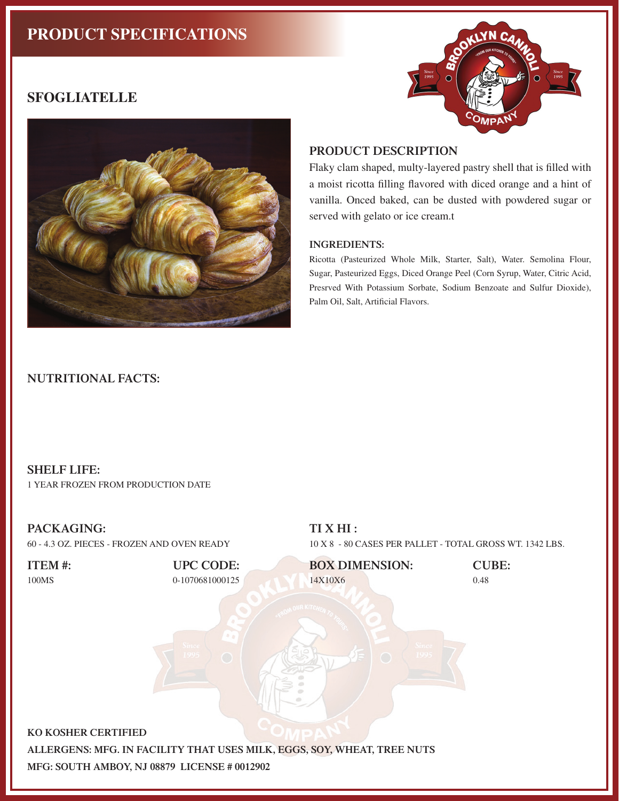# **PRODUCT SPECIFICATIONS**



# **SFOGLIATELLE**



### **PRODUCT DESCRIPTION**

Flaky clam shaped, multy-layered pastry shell that is filled with a moist ricotta filling flavored with diced orange and a hint of vanilla. Onced baked, can be dusted with powdered sugar or served with gelato or ice cream.t

#### **INGREDIENTS:**

Ricotta (Pasteurized Whole Milk, Starter, Salt), Water. Semolina Flour, Sugar, Pasteurized Eggs, Diced Orange Peel (Corn Syrup, Water, Citric Acid, Presrved With Potassium Sorbate, Sodium Benzoate and Sulfur Dioxide), Palm Oil, Salt, Artificial Flavors.

### **NUTRITIONAL FACTS:**

## **SHELF LIFE:**

1 YEAR FROZEN FROM PRODUCTION DATE

### **PACKAGING:**



## **TI X HI :**

10 X 8 - 80 CASES PER PALLET - TOTAL GROSS WT. 1342 LBS.



**MFG: SOUTH AMBOY, NJ 08879 LICENSE # 0012902**